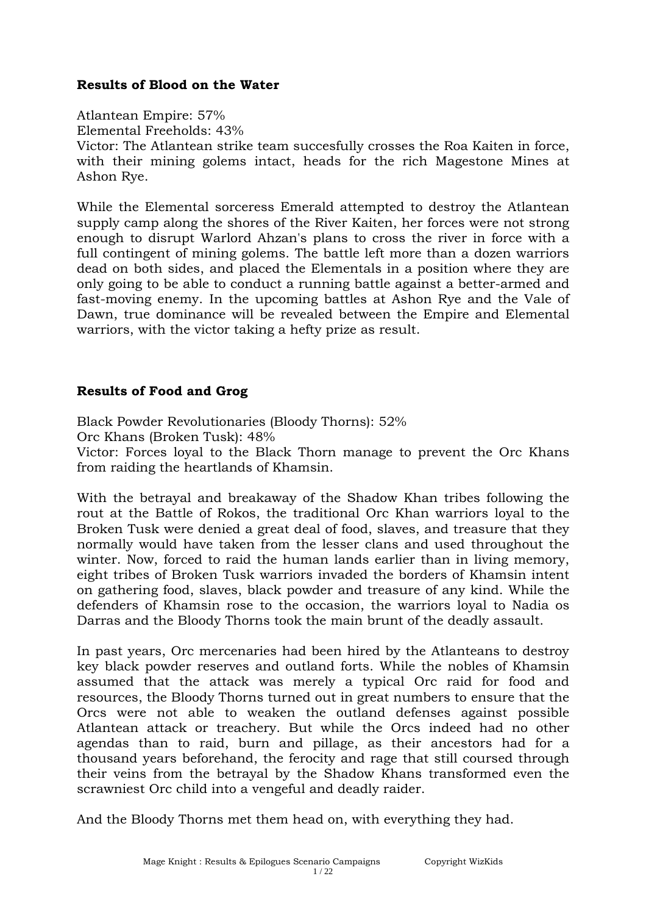#### **Results of Blood on the Water**

Atlantean Empire: 57%

Elemental Freeholds: 43%

Victor: The Atlantean strike team succesfully crosses the Roa Kaiten in force, with their mining golems intact, heads for the rich Magestone Mines at Ashon Rye.

While the Elemental sorceress Emerald attempted to destroy the Atlantean supply camp along the shores of the River Kaiten, her forces were not strong enough to disrupt Warlord Ahzan's plans to cross the river in force with a full contingent of mining golems. The battle left more than a dozen warriors dead on both sides, and placed the Elementals in a position where they are only going to be able to conduct a running battle against a better-armed and fast-moving enemy. In the upcoming battles at Ashon Rye and the Vale of Dawn, true dominance will be revealed between the Empire and Elemental warriors, with the victor taking a hefty prize as result.

# **Results of Food and Grog**

Black Powder Revolutionaries (Bloody Thorns): 52% Orc Khans (Broken Tusk): 48%

Victor: Forces loyal to the Black Thorn manage to prevent the Orc Khans from raiding the heartlands of Khamsin.

With the betrayal and breakaway of the Shadow Khan tribes following the rout at the Battle of Rokos, the traditional Orc Khan warriors loyal to the Broken Tusk were denied a great deal of food, slaves, and treasure that they normally would have taken from the lesser clans and used throughout the winter. Now, forced to raid the human lands earlier than in living memory, eight tribes of Broken Tusk warriors invaded the borders of Khamsin intent on gathering food, slaves, black powder and treasure of any kind. While the defenders of Khamsin rose to the occasion, the warriors loyal to Nadia os Darras and the Bloody Thorns took the main brunt of the deadly assault.

In past years, Orc mercenaries had been hired by the Atlanteans to destroy key black powder reserves and outland forts. While the nobles of Khamsin assumed that the attack was merely a typical Orc raid for food and resources, the Bloody Thorns turned out in great numbers to ensure that the Orcs were not able to weaken the outland defenses against possible Atlantean attack or treachery. But while the Orcs indeed had no other agendas than to raid, burn and pillage, as their ancestors had for a thousand years beforehand, the ferocity and rage that still coursed through their veins from the betrayal by the Shadow Khans transformed even the scrawniest Orc child into a vengeful and deadly raider.

And the Bloody Thorns met them head on, with everything they had.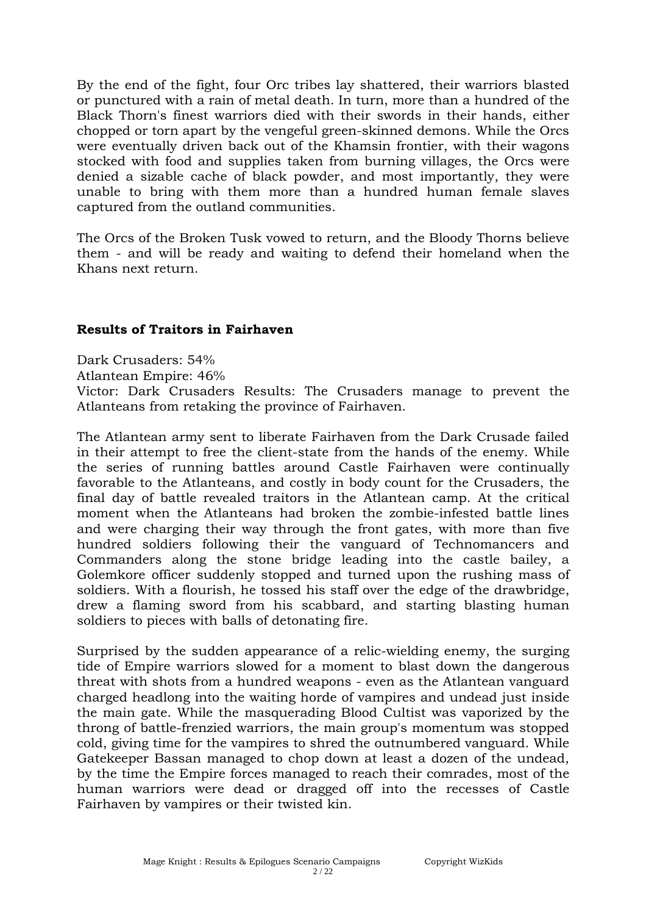By the end of the fight, four Orc tribes lay shattered, their warriors blasted or punctured with a rain of metal death. In turn, more than a hundred of the Black Thorn's finest warriors died with their swords in their hands, either chopped or torn apart by the vengeful green-skinned demons. While the Orcs were eventually driven back out of the Khamsin frontier, with their wagons stocked with food and supplies taken from burning villages, the Orcs were denied a sizable cache of black powder, and most importantly, they were unable to bring with them more than a hundred human female slaves captured from the outland communities.

The Orcs of the Broken Tusk vowed to return, and the Bloody Thorns believe them - and will be ready and waiting to defend their homeland when the Khans next return.

#### **Results of Traitors in Fairhaven**

Dark Crusaders: 54% Atlantean Empire: 46% Victor: Dark Crusaders Results: The Crusaders manage to prevent the Atlanteans from retaking the province of Fairhaven.

The Atlantean army sent to liberate Fairhaven from the Dark Crusade failed in their attempt to free the client-state from the hands of the enemy. While the series of running battles around Castle Fairhaven were continually favorable to the Atlanteans, and costly in body count for the Crusaders, the final day of battle revealed traitors in the Atlantean camp. At the critical moment when the Atlanteans had broken the zombie-infested battle lines and were charging their way through the front gates, with more than five hundred soldiers following their the vanguard of Technomancers and Commanders along the stone bridge leading into the castle bailey, a Golemkore officer suddenly stopped and turned upon the rushing mass of soldiers. With a flourish, he tossed his staff over the edge of the drawbridge, drew a flaming sword from his scabbard, and starting blasting human soldiers to pieces with balls of detonating fire.

Surprised by the sudden appearance of a relic-wielding enemy, the surging tide of Empire warriors slowed for a moment to blast down the dangerous threat with shots from a hundred weapons - even as the Atlantean vanguard charged headlong into the waiting horde of vampires and undead just inside the main gate. While the masquerading Blood Cultist was vaporized by the throng of battle-frenzied warriors, the main group's momentum was stopped cold, giving time for the vampires to shred the outnumbered vanguard. While Gatekeeper Bassan managed to chop down at least a dozen of the undead, by the time the Empire forces managed to reach their comrades, most of the human warriors were dead or dragged off into the recesses of Castle Fairhaven by vampires or their twisted kin.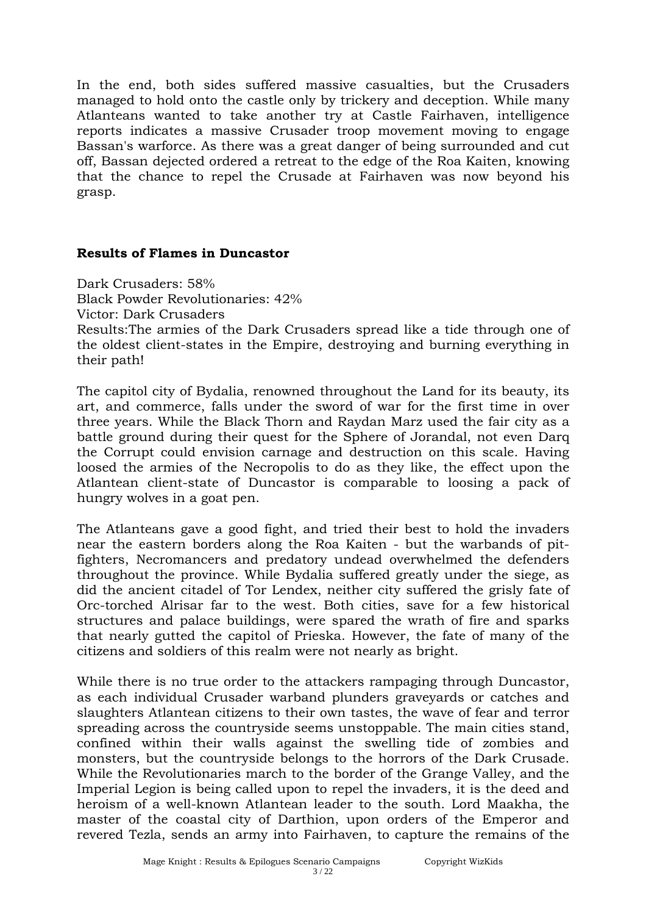In the end, both sides suffered massive casualties, but the Crusaders managed to hold onto the castle only by trickery and deception. While many Atlanteans wanted to take another try at Castle Fairhaven, intelligence reports indicates a massive Crusader troop movement moving to engage Bassan's warforce. As there was a great danger of being surrounded and cut off, Bassan dejected ordered a retreat to the edge of the Roa Kaiten, knowing that the chance to repel the Crusade at Fairhaven was now beyond his grasp.

#### **Results of Flames in Duncastor**

Dark Crusaders: 58% Black Powder Revolutionaries: 42% Victor: Dark Crusaders Results:The armies of the Dark Crusaders spread like a tide through one of the oldest client-states in the Empire, destroying and burning everything in their path!

The capitol city of Bydalia, renowned throughout the Land for its beauty, its art, and commerce, falls under the sword of war for the first time in over three years. While the Black Thorn and Raydan Marz used the fair city as a battle ground during their quest for the Sphere of Jorandal, not even Darq the Corrupt could envision carnage and destruction on this scale. Having loosed the armies of the Necropolis to do as they like, the effect upon the Atlantean client-state of Duncastor is comparable to loosing a pack of hungry wolves in a goat pen.

The Atlanteans gave a good fight, and tried their best to hold the invaders near the eastern borders along the Roa Kaiten - but the warbands of pitfighters, Necromancers and predatory undead overwhelmed the defenders throughout the province. While Bydalia suffered greatly under the siege, as did the ancient citadel of Tor Lendex, neither city suffered the grisly fate of Orc-torched Alrisar far to the west. Both cities, save for a few historical structures and palace buildings, were spared the wrath of fire and sparks that nearly gutted the capitol of Prieska. However, the fate of many of the citizens and soldiers of this realm were not nearly as bright.

While there is no true order to the attackers rampaging through Duncastor, as each individual Crusader warband plunders graveyards or catches and slaughters Atlantean citizens to their own tastes, the wave of fear and terror spreading across the countryside seems unstoppable. The main cities stand, confined within their walls against the swelling tide of zombies and monsters, but the countryside belongs to the horrors of the Dark Crusade. While the Revolutionaries march to the border of the Grange Valley, and the Imperial Legion is being called upon to repel the invaders, it is the deed and heroism of a well-known Atlantean leader to the south. Lord Maakha, the master of the coastal city of Darthion, upon orders of the Emperor and revered Tezla, sends an army into Fairhaven, to capture the remains of the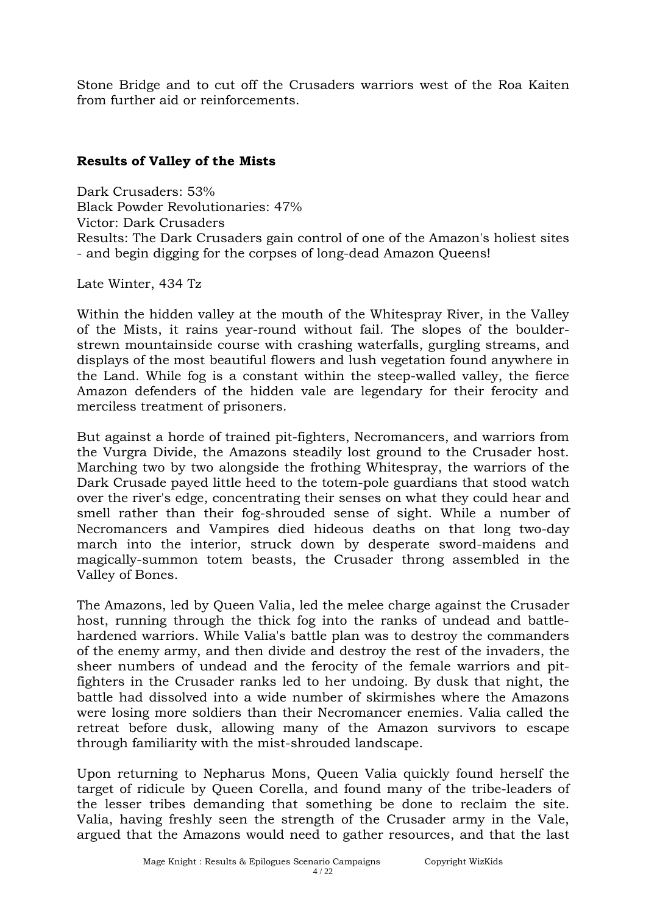Stone Bridge and to cut off the Crusaders warriors west of the Roa Kaiten from further aid or reinforcements.

## **Results of Valley of the Mists**

Dark Crusaders: 53% Black Powder Revolutionaries: 47% Victor: Dark Crusaders Results: The Dark Crusaders gain control of one of the Amazon's holiest sites - and begin digging for the corpses of long-dead Amazon Queens!

Late Winter, 434 Tz

Within the hidden valley at the mouth of the Whitespray River, in the Valley of the Mists, it rains year-round without fail. The slopes of the boulderstrewn mountainside course with crashing waterfalls, gurgling streams, and displays of the most beautiful flowers and lush vegetation found anywhere in the Land. While fog is a constant within the steep-walled valley, the fierce Amazon defenders of the hidden vale are legendary for their ferocity and merciless treatment of prisoners.

But against a horde of trained pit-fighters, Necromancers, and warriors from the Vurgra Divide, the Amazons steadily lost ground to the Crusader host. Marching two by two alongside the frothing Whitespray, the warriors of the Dark Crusade payed little heed to the totem-pole guardians that stood watch over the river's edge, concentrating their senses on what they could hear and smell rather than their fog-shrouded sense of sight. While a number of Necromancers and Vampires died hideous deaths on that long two-day march into the interior, struck down by desperate sword-maidens and magically-summon totem beasts, the Crusader throng assembled in the Valley of Bones.

The Amazons, led by Queen Valia, led the melee charge against the Crusader host, running through the thick fog into the ranks of undead and battlehardened warriors. While Valia's battle plan was to destroy the commanders of the enemy army, and then divide and destroy the rest of the invaders, the sheer numbers of undead and the ferocity of the female warriors and pitfighters in the Crusader ranks led to her undoing. By dusk that night, the battle had dissolved into a wide number of skirmishes where the Amazons were losing more soldiers than their Necromancer enemies. Valia called the retreat before dusk, allowing many of the Amazon survivors to escape through familiarity with the mist-shrouded landscape.

Upon returning to Nepharus Mons, Queen Valia quickly found herself the target of ridicule by Queen Corella, and found many of the tribe-leaders of the lesser tribes demanding that something be done to reclaim the site. Valia, having freshly seen the strength of the Crusader army in the Vale, argued that the Amazons would need to gather resources, and that the last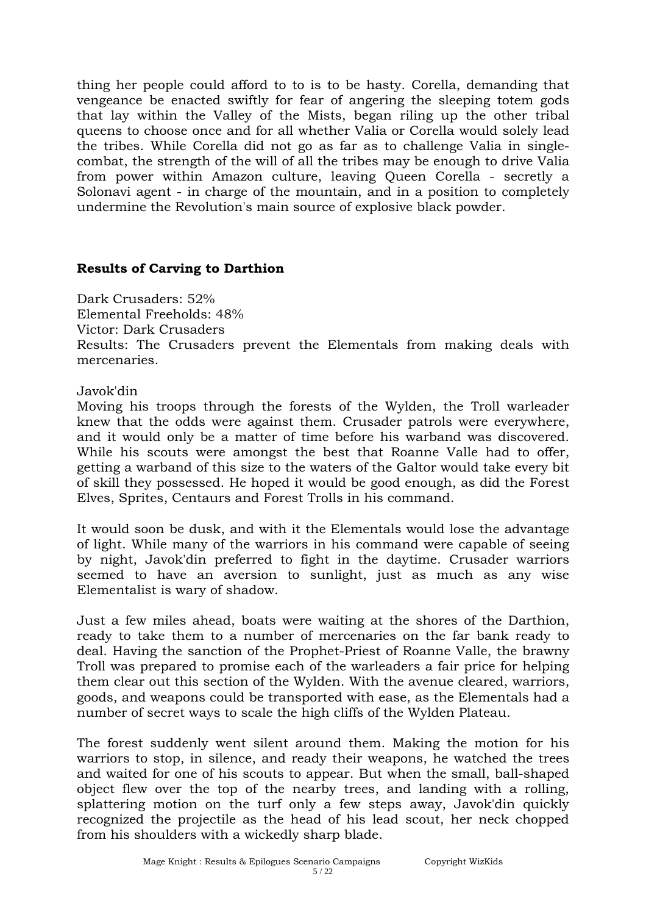thing her people could afford to to is to be hasty. Corella, demanding that vengeance be enacted swiftly for fear of angering the sleeping totem gods that lay within the Valley of the Mists, began riling up the other tribal queens to choose once and for all whether Valia or Corella would solely lead the tribes. While Corella did not go as far as to challenge Valia in singlecombat, the strength of the will of all the tribes may be enough to drive Valia from power within Amazon culture, leaving Queen Corella - secretly a Solonavi agent - in charge of the mountain, and in a position to completely undermine the Revolution's main source of explosive black powder.

#### **Results of Carving to Darthion**

Dark Crusaders: 52% Elemental Freeholds: 48% Victor: Dark Crusaders Results: The Crusaders prevent the Elementals from making deals with mercenaries.

#### Javok'din

Moving his troops through the forests of the Wylden, the Troll warleader knew that the odds were against them. Crusader patrols were everywhere, and it would only be a matter of time before his warband was discovered. While his scouts were amongst the best that Roanne Valle had to offer, getting a warband of this size to the waters of the Galtor would take every bit of skill they possessed. He hoped it would be good enough, as did the Forest Elves, Sprites, Centaurs and Forest Trolls in his command.

It would soon be dusk, and with it the Elementals would lose the advantage of light. While many of the warriors in his command were capable of seeing by night, Javok'din preferred to fight in the daytime. Crusader warriors seemed to have an aversion to sunlight, just as much as any wise Elementalist is wary of shadow.

Just a few miles ahead, boats were waiting at the shores of the Darthion, ready to take them to a number of mercenaries on the far bank ready to deal. Having the sanction of the Prophet-Priest of Roanne Valle, the brawny Troll was prepared to promise each of the warleaders a fair price for helping them clear out this section of the Wylden. With the avenue cleared, warriors, goods, and weapons could be transported with ease, as the Elementals had a number of secret ways to scale the high cliffs of the Wylden Plateau.

The forest suddenly went silent around them. Making the motion for his warriors to stop, in silence, and ready their weapons, he watched the trees and waited for one of his scouts to appear. But when the small, ball-shaped object flew over the top of the nearby trees, and landing with a rolling, splattering motion on the turf only a few steps away, Javok'din quickly recognized the projectile as the head of his lead scout, her neck chopped from his shoulders with a wickedly sharp blade.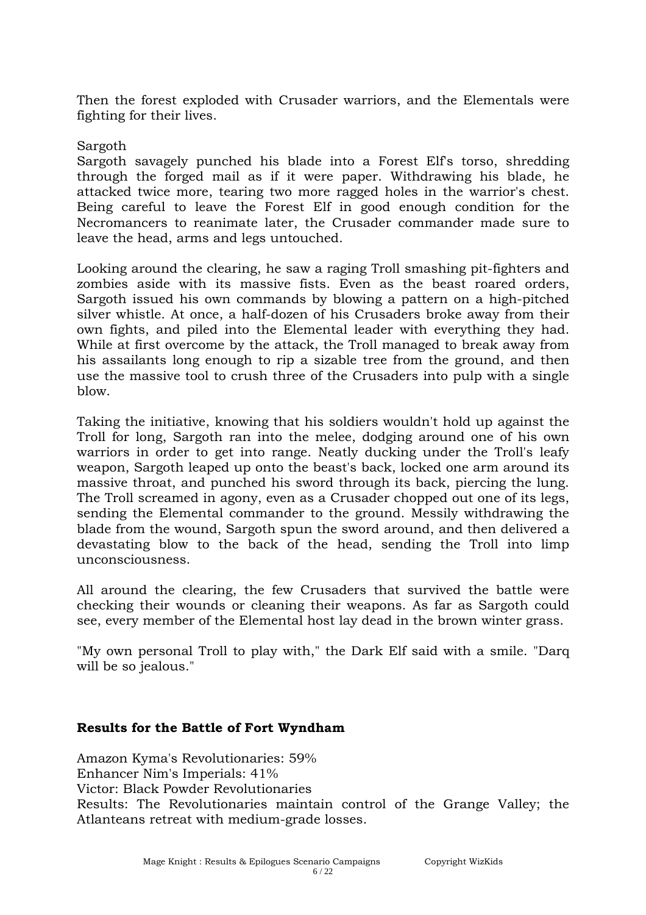Then the forest exploded with Crusader warriors, and the Elementals were fighting for their lives.

#### Sargoth

Sargoth savagely punched his blade into a Forest Elf's torso, shredding through the forged mail as if it were paper. Withdrawing his blade, he attacked twice more, tearing two more ragged holes in the warrior's chest. Being careful to leave the Forest Elf in good enough condition for the Necromancers to reanimate later, the Crusader commander made sure to leave the head, arms and legs untouched.

Looking around the clearing, he saw a raging Troll smashing pit-fighters and zombies aside with its massive fists. Even as the beast roared orders, Sargoth issued his own commands by blowing a pattern on a high-pitched silver whistle. At once, a half-dozen of his Crusaders broke away from their own fights, and piled into the Elemental leader with everything they had. While at first overcome by the attack, the Troll managed to break away from his assailants long enough to rip a sizable tree from the ground, and then use the massive tool to crush three of the Crusaders into pulp with a single blow.

Taking the initiative, knowing that his soldiers wouldn't hold up against the Troll for long, Sargoth ran into the melee, dodging around one of his own warriors in order to get into range. Neatly ducking under the Troll's leafy weapon, Sargoth leaped up onto the beast's back, locked one arm around its massive throat, and punched his sword through its back, piercing the lung. The Troll screamed in agony, even as a Crusader chopped out one of its legs, sending the Elemental commander to the ground. Messily withdrawing the blade from the wound, Sargoth spun the sword around, and then delivered a devastating blow to the back of the head, sending the Troll into limp unconsciousness.

All around the clearing, the few Crusaders that survived the battle were checking their wounds or cleaning their weapons. As far as Sargoth could see, every member of the Elemental host lay dead in the brown winter grass.

"My own personal Troll to play with," the Dark Elf said with a smile. "Darq will be so jealous."

## **Results for the Battle of Fort Wyndham**

Amazon Kyma's Revolutionaries: 59% Enhancer Nim's Imperials: 41% Victor: Black Powder Revolutionaries Results: The Revolutionaries maintain control of the Grange Valley; the Atlanteans retreat with medium-grade losses.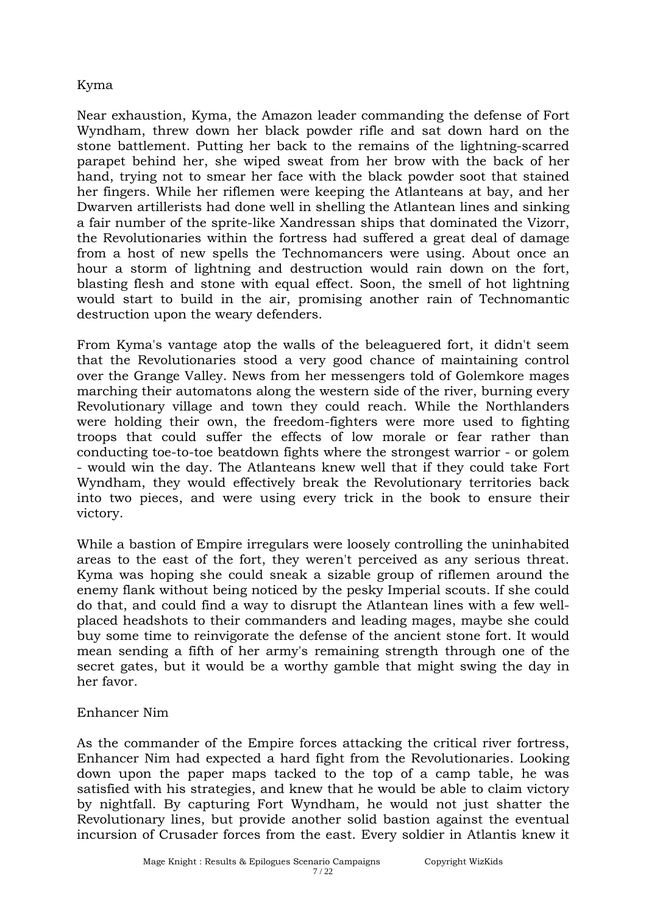# Kyma

Near exhaustion, Kyma, the Amazon leader commanding the defense of Fort Wyndham, threw down her black powder rifle and sat down hard on the stone battlement. Putting her back to the remains of the lightning-scarred parapet behind her, she wiped sweat from her brow with the back of her hand, trying not to smear her face with the black powder soot that stained her fingers. While her riflemen were keeping the Atlanteans at bay, and her Dwarven artillerists had done well in shelling the Atlantean lines and sinking a fair number of the sprite-like Xandressan ships that dominated the Vizorr, the Revolutionaries within the fortress had suffered a great deal of damage from a host of new spells the Technomancers were using. About once an hour a storm of lightning and destruction would rain down on the fort, blasting flesh and stone with equal effect. Soon, the smell of hot lightning would start to build in the air, promising another rain of Technomantic destruction upon the weary defenders.

From Kyma's vantage atop the walls of the beleaguered fort, it didn't seem that the Revolutionaries stood a very good chance of maintaining control over the Grange Valley. News from her messengers told of Golemkore mages marching their automatons along the western side of the river, burning every Revolutionary village and town they could reach. While the Northlanders were holding their own, the freedom-fighters were more used to fighting troops that could suffer the effects of low morale or fear rather than conducting toe-to-toe beatdown fights where the strongest warrior - or golem - would win the day. The Atlanteans knew well that if they could take Fort Wyndham, they would effectively break the Revolutionary territories back into two pieces, and were using every trick in the book to ensure their victory.

While a bastion of Empire irregulars were loosely controlling the uninhabited areas to the east of the fort, they weren't perceived as any serious threat. Kyma was hoping she could sneak a sizable group of riflemen around the enemy flank without being noticed by the pesky Imperial scouts. If she could do that, and could find a way to disrupt the Atlantean lines with a few wellplaced headshots to their commanders and leading mages, maybe she could buy some time to reinvigorate the defense of the ancient stone fort. It would mean sending a fifth of her army's remaining strength through one of the secret gates, but it would be a worthy gamble that might swing the day in her favor.

## Enhancer Nim

As the commander of the Empire forces attacking the critical river fortress, Enhancer Nim had expected a hard fight from the Revolutionaries. Looking down upon the paper maps tacked to the top of a camp table, he was satisfied with his strategies, and knew that he would be able to claim victory by nightfall. By capturing Fort Wyndham, he would not just shatter the Revolutionary lines, but provide another solid bastion against the eventual incursion of Crusader forces from the east. Every soldier in Atlantis knew it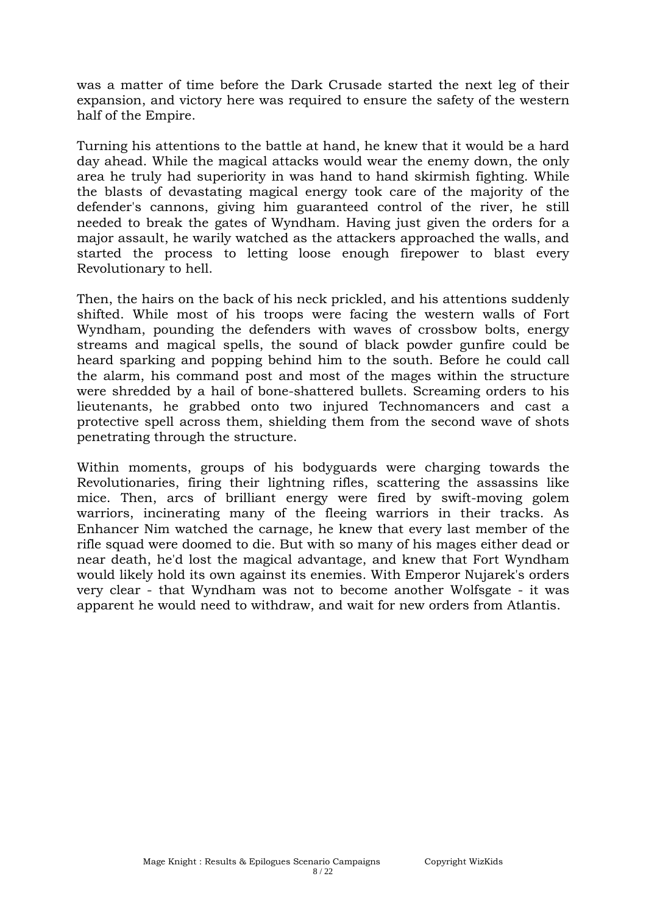was a matter of time before the Dark Crusade started the next leg of their expansion, and victory here was required to ensure the safety of the western half of the Empire.

Turning his attentions to the battle at hand, he knew that it would be a hard day ahead. While the magical attacks would wear the enemy down, the only area he truly had superiority in was hand to hand skirmish fighting. While the blasts of devastating magical energy took care of the majority of the defender's cannons, giving him guaranteed control of the river, he still needed to break the gates of Wyndham. Having just given the orders for a major assault, he warily watched as the attackers approached the walls, and started the process to letting loose enough firepower to blast every Revolutionary to hell.

Then, the hairs on the back of his neck prickled, and his attentions suddenly shifted. While most of his troops were facing the western walls of Fort Wyndham, pounding the defenders with waves of crossbow bolts, energy streams and magical spells, the sound of black powder gunfire could be heard sparking and popping behind him to the south. Before he could call the alarm, his command post and most of the mages within the structure were shredded by a hail of bone-shattered bullets. Screaming orders to his lieutenants, he grabbed onto two injured Technomancers and cast a protective spell across them, shielding them from the second wave of shots penetrating through the structure.

Within moments, groups of his bodyguards were charging towards the Revolutionaries, firing their lightning rifles, scattering the assassins like mice. Then, arcs of brilliant energy were fired by swift-moving golem warriors, incinerating many of the fleeing warriors in their tracks. As Enhancer Nim watched the carnage, he knew that every last member of the rifle squad were doomed to die. But with so many of his mages either dead or near death, he'd lost the magical advantage, and knew that Fort Wyndham would likely hold its own against its enemies. With Emperor Nujarek's orders very clear - that Wyndham was not to become another Wolfsgate - it was apparent he would need to withdraw, and wait for new orders from Atlantis.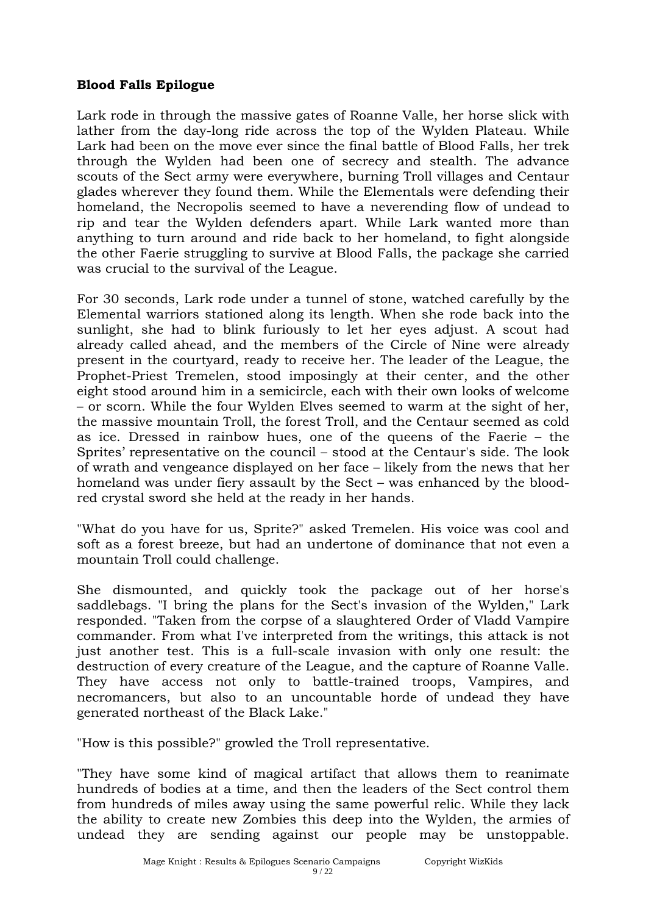## **Blood Falls Epilogue**

Lark rode in through the massive gates of Roanne Valle, her horse slick with lather from the day-long ride across the top of the Wylden Plateau. While Lark had been on the move ever since the final battle of Blood Falls, her trek through the Wylden had been one of secrecy and stealth. The advance scouts of the Sect army were everywhere, burning Troll villages and Centaur glades wherever they found them. While the Elementals were defending their homeland, the Necropolis seemed to have a neverending flow of undead to rip and tear the Wylden defenders apart. While Lark wanted more than anything to turn around and ride back to her homeland, to fight alongside the other Faerie struggling to survive at Blood Falls, the package she carried was crucial to the survival of the League.

For 30 seconds, Lark rode under a tunnel of stone, watched carefully by the Elemental warriors stationed along its length. When she rode back into the sunlight, she had to blink furiously to let her eyes adjust. A scout had already called ahead, and the members of the Circle of Nine were already present in the courtyard, ready to receive her. The leader of the League, the Prophet-Priest Tremelen, stood imposingly at their center, and the other eight stood around him in a semicircle, each with their own looks of welcome – or scorn. While the four Wylden Elves seemed to warm at the sight of her, the massive mountain Troll, the forest Troll, and the Centaur seemed as cold as ice. Dressed in rainbow hues, one of the queens of the Faerie – the Sprites' representative on the council – stood at the Centaur's side. The look of wrath and vengeance displayed on her face – likely from the news that her homeland was under fiery assault by the Sect – was enhanced by the bloodred crystal sword she held at the ready in her hands.

"What do you have for us, Sprite?" asked Tremelen. His voice was cool and soft as a forest breeze, but had an undertone of dominance that not even a mountain Troll could challenge.

She dismounted, and quickly took the package out of her horse's saddlebags. "I bring the plans for the Sect's invasion of the Wylden," Lark responded. "Taken from the corpse of a slaughtered Order of Vladd Vampire commander. From what I've interpreted from the writings, this attack is not just another test. This is a full-scale invasion with only one result: the destruction of every creature of the League, and the capture of Roanne Valle. They have access not only to battle-trained troops, Vampires, and necromancers, but also to an uncountable horde of undead they have generated northeast of the Black Lake."

"How is this possible?" growled the Troll representative.

"They have some kind of magical artifact that allows them to reanimate hundreds of bodies at a time, and then the leaders of the Sect control them from hundreds of miles away using the same powerful relic. While they lack the ability to create new Zombies this deep into the Wylden, the armies of undead they are sending against our people may be unstoppable.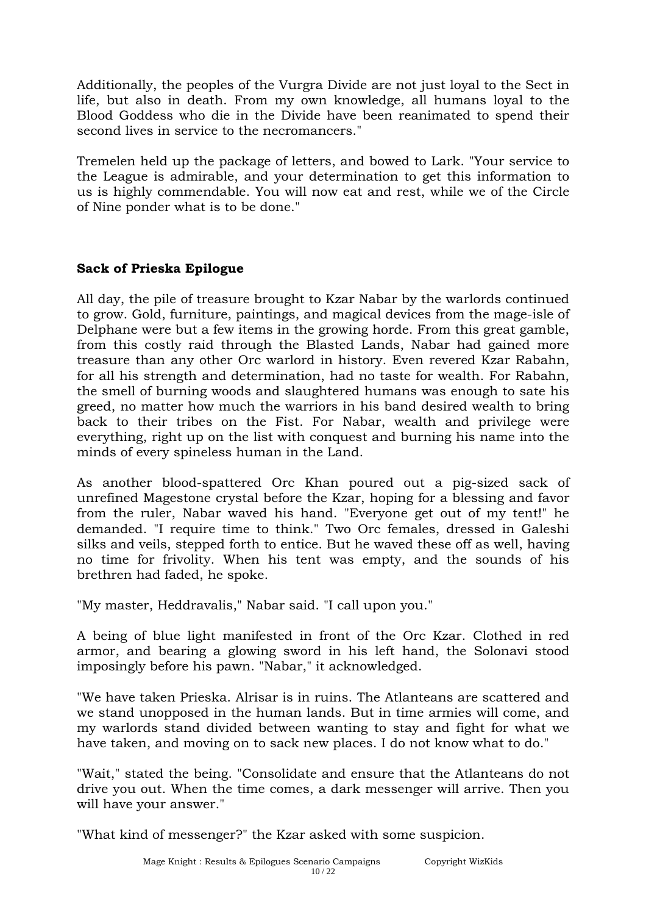Additionally, the peoples of the Vurgra Divide are not just loyal to the Sect in life, but also in death. From my own knowledge, all humans loyal to the Blood Goddess who die in the Divide have been reanimated to spend their second lives in service to the necromancers."

Tremelen held up the package of letters, and bowed to Lark. "Your service to the League is admirable, and your determination to get this information to us is highly commendable. You will now eat and rest, while we of the Circle of Nine ponder what is to be done."

## **Sack of Prieska Epilogue**

All day, the pile of treasure brought to Kzar Nabar by the warlords continued to grow. Gold, furniture, paintings, and magical devices from the mage-isle of Delphane were but a few items in the growing horde. From this great gamble, from this costly raid through the Blasted Lands, Nabar had gained more treasure than any other Orc warlord in history. Even revered Kzar Rabahn, for all his strength and determination, had no taste for wealth. For Rabahn, the smell of burning woods and slaughtered humans was enough to sate his greed, no matter how much the warriors in his band desired wealth to bring back to their tribes on the Fist. For Nabar, wealth and privilege were everything, right up on the list with conquest and burning his name into the minds of every spineless human in the Land.

As another blood-spattered Orc Khan poured out a pig-sized sack of unrefined Magestone crystal before the Kzar, hoping for a blessing and favor from the ruler, Nabar waved his hand. "Everyone get out of my tent!" he demanded. "I require time to think." Two Orc females, dressed in Galeshi silks and veils, stepped forth to entice. But he waved these off as well, having no time for frivolity. When his tent was empty, and the sounds of his brethren had faded, he spoke.

"My master, Heddravalis," Nabar said. "I call upon you."

A being of blue light manifested in front of the Orc Kzar. Clothed in red armor, and bearing a glowing sword in his left hand, the Solonavi stood imposingly before his pawn. "Nabar," it acknowledged.

"We have taken Prieska. Alrisar is in ruins. The Atlanteans are scattered and we stand unopposed in the human lands. But in time armies will come, and my warlords stand divided between wanting to stay and fight for what we have taken, and moving on to sack new places. I do not know what to do."

"Wait," stated the being. "Consolidate and ensure that the Atlanteans do not drive you out. When the time comes, a dark messenger will arrive. Then you will have your answer."

"What kind of messenger?" the Kzar asked with some suspicion.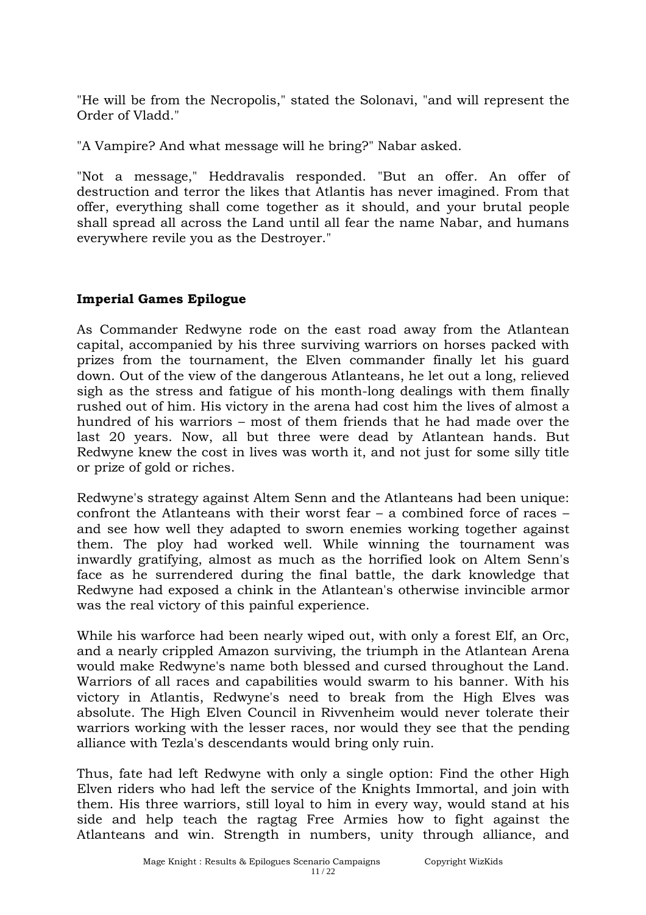"He will be from the Necropolis," stated the Solonavi, "and will represent the Order of Vladd."

"A Vampire? And what message will he bring?" Nabar asked.

"Not a message," Heddravalis responded. "But an offer. An offer of destruction and terror the likes that Atlantis has never imagined. From that offer, everything shall come together as it should, and your brutal people shall spread all across the Land until all fear the name Nabar, and humans everywhere revile you as the Destroyer."

## **Imperial Games Epilogue**

As Commander Redwyne rode on the east road away from the Atlantean capital, accompanied by his three surviving warriors on horses packed with prizes from the tournament, the Elven commander finally let his guard down. Out of the view of the dangerous Atlanteans, he let out a long, relieved sigh as the stress and fatigue of his month-long dealings with them finally rushed out of him. His victory in the arena had cost him the lives of almost a hundred of his warriors – most of them friends that he had made over the last 20 years. Now, all but three were dead by Atlantean hands. But Redwyne knew the cost in lives was worth it, and not just for some silly title or prize of gold or riches.

Redwyne's strategy against Altem Senn and the Atlanteans had been unique: confront the Atlanteans with their worst fear – a combined force of races – and see how well they adapted to sworn enemies working together against them. The ploy had worked well. While winning the tournament was inwardly gratifying, almost as much as the horrified look on Altem Senn's face as he surrendered during the final battle, the dark knowledge that Redwyne had exposed a chink in the Atlantean's otherwise invincible armor was the real victory of this painful experience.

While his warforce had been nearly wiped out, with only a forest Elf, an Orc, and a nearly crippled Amazon surviving, the triumph in the Atlantean Arena would make Redwyne's name both blessed and cursed throughout the Land. Warriors of all races and capabilities would swarm to his banner. With his victory in Atlantis, Redwyne's need to break from the High Elves was absolute. The High Elven Council in Rivvenheim would never tolerate their warriors working with the lesser races, nor would they see that the pending alliance with Tezla's descendants would bring only ruin.

Thus, fate had left Redwyne with only a single option: Find the other High Elven riders who had left the service of the Knights Immortal, and join with them. His three warriors, still loyal to him in every way, would stand at his side and help teach the ragtag Free Armies how to fight against the Atlanteans and win. Strength in numbers, unity through alliance, and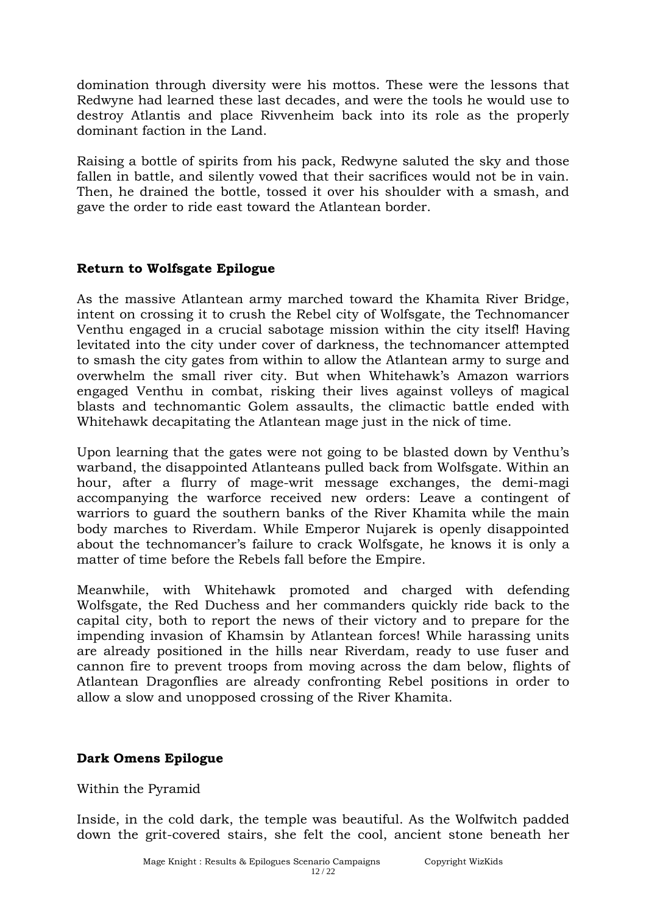domination through diversity were his mottos. These were the lessons that Redwyne had learned these last decades, and were the tools he would use to destroy Atlantis and place Rivvenheim back into its role as the properly dominant faction in the Land.

Raising a bottle of spirits from his pack, Redwyne saluted the sky and those fallen in battle, and silently vowed that their sacrifices would not be in vain. Then, he drained the bottle, tossed it over his shoulder with a smash, and gave the order to ride east toward the Atlantean border.

#### **Return to Wolfsgate Epilogue**

As the massive Atlantean army marched toward the Khamita River Bridge, intent on crossing it to crush the Rebel city of Wolfsgate, the Technomancer Venthu engaged in a crucial sabotage mission within the city itself! Having levitated into the city under cover of darkness, the technomancer attempted to smash the city gates from within to allow the Atlantean army to surge and overwhelm the small river city. But when Whitehawk's Amazon warriors engaged Venthu in combat, risking their lives against volleys of magical blasts and technomantic Golem assaults, the climactic battle ended with Whitehawk decapitating the Atlantean mage just in the nick of time.

Upon learning that the gates were not going to be blasted down by Venthu's warband, the disappointed Atlanteans pulled back from Wolfsgate. Within an hour, after a flurry of mage-writ message exchanges, the demi-magi accompanying the warforce received new orders: Leave a contingent of warriors to guard the southern banks of the River Khamita while the main body marches to Riverdam. While Emperor Nujarek is openly disappointed about the technomancer's failure to crack Wolfsgate, he knows it is only a matter of time before the Rebels fall before the Empire.

Meanwhile, with Whitehawk promoted and charged with defending Wolfsgate, the Red Duchess and her commanders quickly ride back to the capital city, both to report the news of their victory and to prepare for the impending invasion of Khamsin by Atlantean forces! While harassing units are already positioned in the hills near Riverdam, ready to use fuser and cannon fire to prevent troops from moving across the dam below, flights of Atlantean Dragonflies are already confronting Rebel positions in order to allow a slow and unopposed crossing of the River Khamita.

#### **Dark Omens Epilogue**

Within the Pyramid

Inside, in the cold dark, the temple was beautiful. As the Wolfwitch padded down the grit-covered stairs, she felt the cool, ancient stone beneath her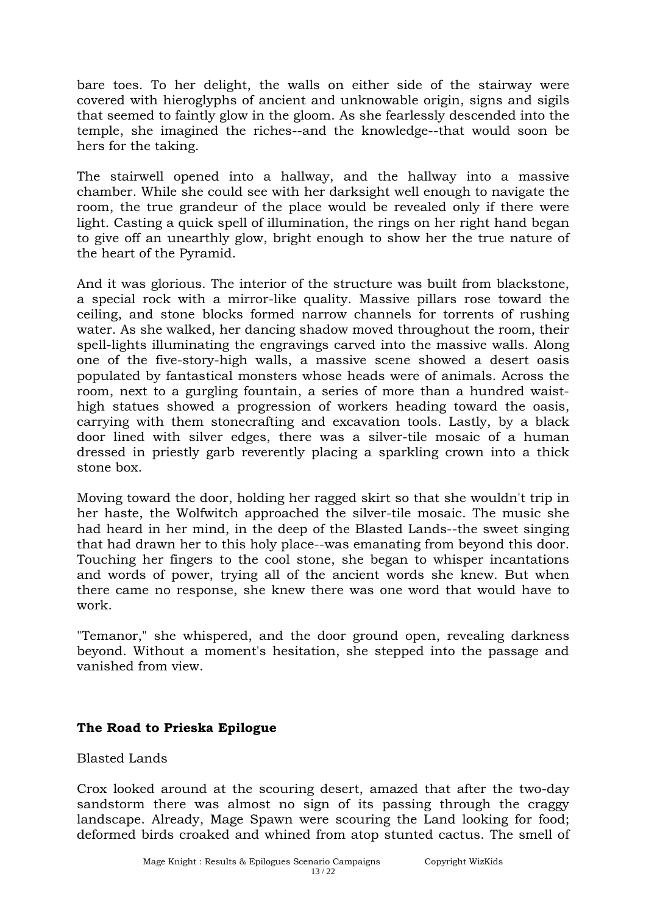bare toes. To her delight, the walls on either side of the stairway were covered with hieroglyphs of ancient and unknowable origin, signs and sigils that seemed to faintly glow in the gloom. As she fearlessly descended into the temple, she imagined the riches--and the knowledge--that would soon be hers for the taking.

The stairwell opened into a hallway, and the hallway into a massive chamber. While she could see with her darksight well enough to navigate the room, the true grandeur of the place would be revealed only if there were light. Casting a quick spell of illumination, the rings on her right hand began to give off an unearthly glow, bright enough to show her the true nature of the heart of the Pyramid.

And it was glorious. The interior of the structure was built from blackstone, a special rock with a mirror-like quality. Massive pillars rose toward the ceiling, and stone blocks formed narrow channels for torrents of rushing water. As she walked, her dancing shadow moved throughout the room, their spell-lights illuminating the engravings carved into the massive walls. Along one of the five-story-high walls, a massive scene showed a desert oasis populated by fantastical monsters whose heads were of animals. Across the room, next to a gurgling fountain, a series of more than a hundred waisthigh statues showed a progression of workers heading toward the oasis, carrying with them stonecrafting and excavation tools. Lastly, by a black door lined with silver edges, there was a silver-tile mosaic of a human dressed in priestly garb reverently placing a sparkling crown into a thick stone box.

Moving toward the door, holding her ragged skirt so that she wouldn't trip in her haste, the Wolfwitch approached the silver-tile mosaic. The music she had heard in her mind, in the deep of the Blasted Lands--the sweet singing that had drawn her to this holy place--was emanating from beyond this door. Touching her fingers to the cool stone, she began to whisper incantations and words of power, trying all of the ancient words she knew. But when there came no response, she knew there was one word that would have to work.

"Temanor," she whispered, and the door ground open, revealing darkness beyond. Without a moment's hesitation, she stepped into the passage and vanished from view.

## **The Road to Prieska Epilogue**

Blasted Lands

Crox looked around at the scouring desert, amazed that after the two-day sandstorm there was almost no sign of its passing through the craggy landscape. Already, Mage Spawn were scouring the Land looking for food; deformed birds croaked and whined from atop stunted cactus. The smell of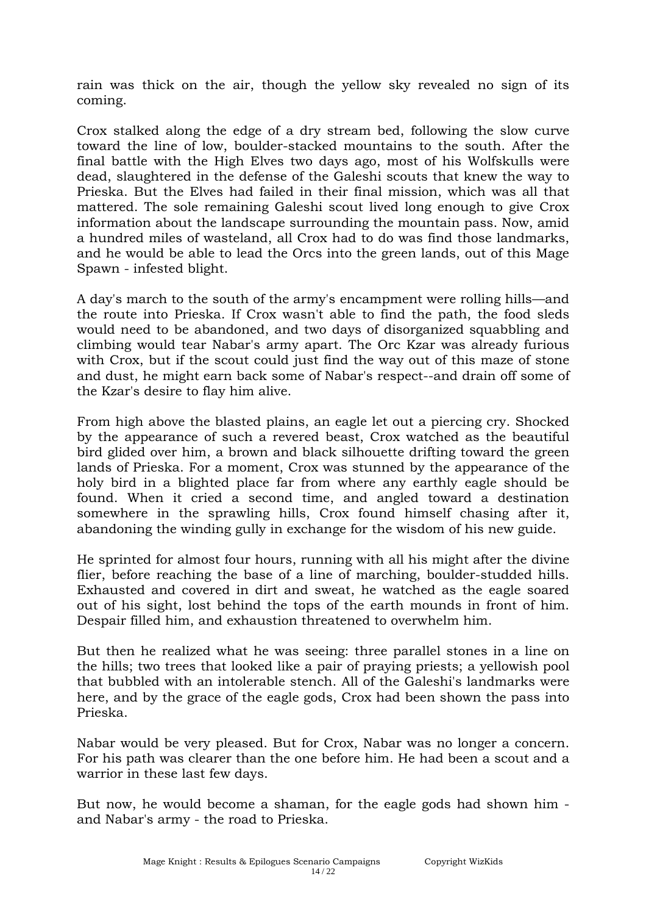rain was thick on the air, though the yellow sky revealed no sign of its coming.

Crox stalked along the edge of a dry stream bed, following the slow curve toward the line of low, boulder-stacked mountains to the south. After the final battle with the High Elves two days ago, most of his Wolfskulls were dead, slaughtered in the defense of the Galeshi scouts that knew the way to Prieska. But the Elves had failed in their final mission, which was all that mattered. The sole remaining Galeshi scout lived long enough to give Crox information about the landscape surrounding the mountain pass. Now, amid a hundred miles of wasteland, all Crox had to do was find those landmarks, and he would be able to lead the Orcs into the green lands, out of this Mage Spawn - infested blight.

A day's march to the south of the army's encampment were rolling hills—and the route into Prieska. If Crox wasn't able to find the path, the food sleds would need to be abandoned, and two days of disorganized squabbling and climbing would tear Nabar's army apart. The Orc Kzar was already furious with Crox, but if the scout could just find the way out of this maze of stone and dust, he might earn back some of Nabar's respect--and drain off some of the Kzar's desire to flay him alive.

From high above the blasted plains, an eagle let out a piercing cry. Shocked by the appearance of such a revered beast, Crox watched as the beautiful bird glided over him, a brown and black silhouette drifting toward the green lands of Prieska. For a moment, Crox was stunned by the appearance of the holy bird in a blighted place far from where any earthly eagle should be found. When it cried a second time, and angled toward a destination somewhere in the sprawling hills, Crox found himself chasing after it, abandoning the winding gully in exchange for the wisdom of his new guide.

He sprinted for almost four hours, running with all his might after the divine flier, before reaching the base of a line of marching, boulder-studded hills. Exhausted and covered in dirt and sweat, he watched as the eagle soared out of his sight, lost behind the tops of the earth mounds in front of him. Despair filled him, and exhaustion threatened to overwhelm him.

But then he realized what he was seeing: three parallel stones in a line on the hills; two trees that looked like a pair of praying priests; a yellowish pool that bubbled with an intolerable stench. All of the Galeshi's landmarks were here, and by the grace of the eagle gods, Crox had been shown the pass into Prieska.

Nabar would be very pleased. But for Crox, Nabar was no longer a concern. For his path was clearer than the one before him. He had been a scout and a warrior in these last few days.

But now, he would become a shaman, for the eagle gods had shown him and Nabar's army - the road to Prieska.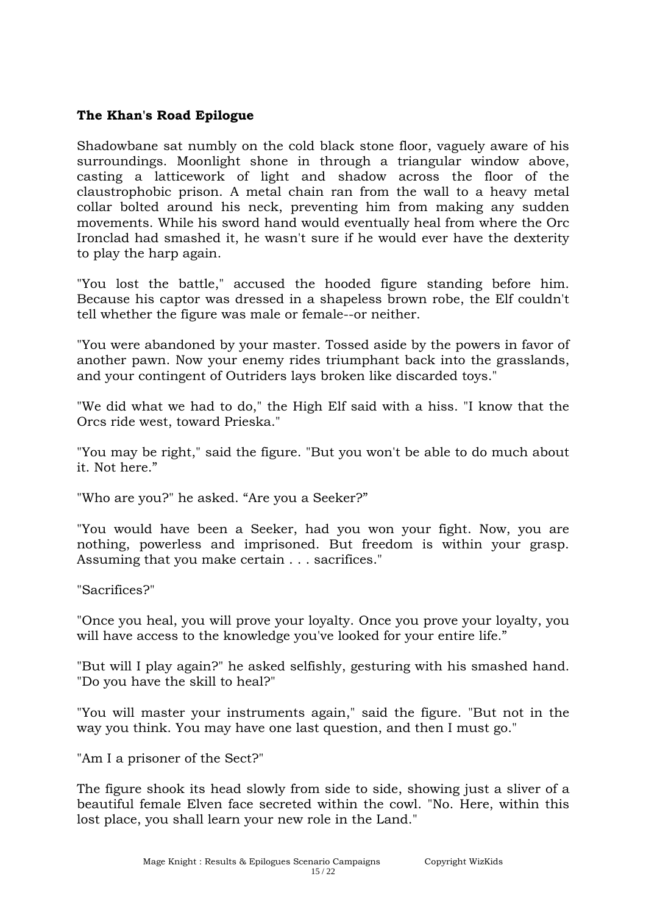#### **The Khan's Road Epilogue**

Shadowbane sat numbly on the cold black stone floor, vaguely aware of his surroundings. Moonlight shone in through a triangular window above, casting a latticework of light and shadow across the floor of the claustrophobic prison. A metal chain ran from the wall to a heavy metal collar bolted around his neck, preventing him from making any sudden movements. While his sword hand would eventually heal from where the Orc Ironclad had smashed it, he wasn't sure if he would ever have the dexterity to play the harp again.

"You lost the battle," accused the hooded figure standing before him. Because his captor was dressed in a shapeless brown robe, the Elf couldn't tell whether the figure was male or female--or neither.

"You were abandoned by your master. Tossed aside by the powers in favor of another pawn. Now your enemy rides triumphant back into the grasslands, and your contingent of Outriders lays broken like discarded toys."

"We did what we had to do," the High Elf said with a hiss. "I know that the Orcs ride west, toward Prieska."

"You may be right," said the figure. "But you won't be able to do much about it. Not here."

"Who are you?" he asked. "Are you a Seeker?"

"You would have been a Seeker, had you won your fight. Now, you are nothing, powerless and imprisoned. But freedom is within your grasp. Assuming that you make certain . . . sacrifices."

"Sacrifices?"

"Once you heal, you will prove your loyalty. Once you prove your loyalty, you will have access to the knowledge you've looked for your entire life."

"But will I play again?" he asked selfishly, gesturing with his smashed hand. "Do you have the skill to heal?"

"You will master your instruments again," said the figure. "But not in the way you think. You may have one last question, and then I must go."

"Am I a prisoner of the Sect?"

The figure shook its head slowly from side to side, showing just a sliver of a beautiful female Elven face secreted within the cowl. "No. Here, within this lost place, you shall learn your new role in the Land."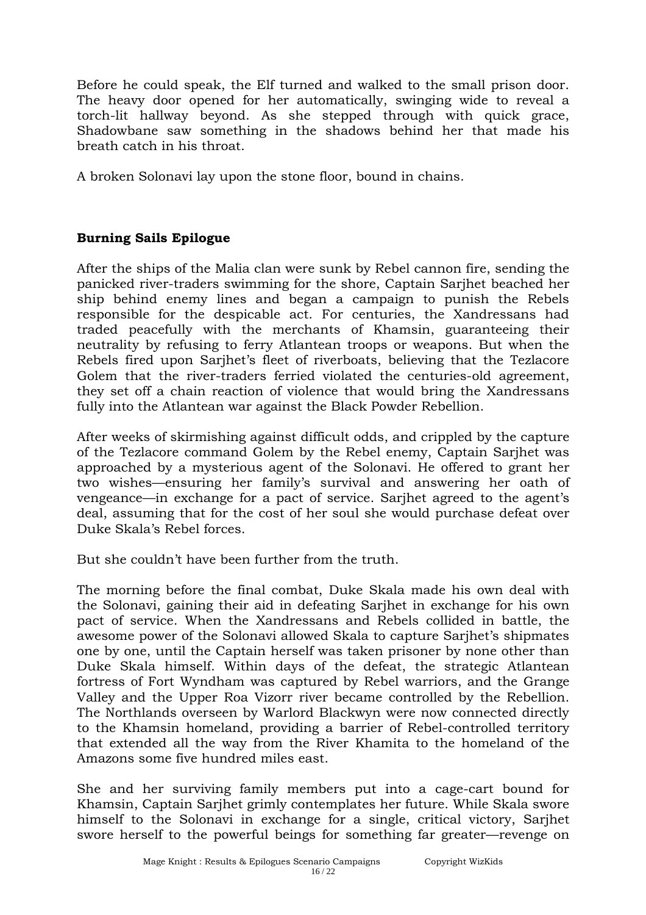Before he could speak, the Elf turned and walked to the small prison door. The heavy door opened for her automatically, swinging wide to reveal a torch-lit hallway beyond. As she stepped through with quick grace, Shadowbane saw something in the shadows behind her that made his breath catch in his throat.

A broken Solonavi lay upon the stone floor, bound in chains.

# **Burning Sails Epilogue**

After the ships of the Malia clan were sunk by Rebel cannon fire, sending the panicked river-traders swimming for the shore, Captain Sarjhet beached her ship behind enemy lines and began a campaign to punish the Rebels responsible for the despicable act. For centuries, the Xandressans had traded peacefully with the merchants of Khamsin, guaranteeing their neutrality by refusing to ferry Atlantean troops or weapons. But when the Rebels fired upon Sarjhet's fleet of riverboats, believing that the Tezlacore Golem that the river-traders ferried violated the centuries-old agreement, they set off a chain reaction of violence that would bring the Xandressans fully into the Atlantean war against the Black Powder Rebellion.

After weeks of skirmishing against difficult odds, and crippled by the capture of the Tezlacore command Golem by the Rebel enemy, Captain Sarjhet was approached by a mysterious agent of the Solonavi. He offered to grant her two wishes—ensuring her family's survival and answering her oath of vengeance—in exchange for a pact of service. Sarjhet agreed to the agent's deal, assuming that for the cost of her soul she would purchase defeat over Duke Skala's Rebel forces.

But she couldn't have been further from the truth.

The morning before the final combat, Duke Skala made his own deal with the Solonavi, gaining their aid in defeating Sarjhet in exchange for his own pact of service. When the Xandressans and Rebels collided in battle, the awesome power of the Solonavi allowed Skala to capture Sarjhet's shipmates one by one, until the Captain herself was taken prisoner by none other than Duke Skala himself. Within days of the defeat, the strategic Atlantean fortress of Fort Wyndham was captured by Rebel warriors, and the Grange Valley and the Upper Roa Vizorr river became controlled by the Rebellion. The Northlands overseen by Warlord Blackwyn were now connected directly to the Khamsin homeland, providing a barrier of Rebel-controlled territory that extended all the way from the River Khamita to the homeland of the Amazons some five hundred miles east.

She and her surviving family members put into a cage-cart bound for Khamsin, Captain Sarjhet grimly contemplates her future. While Skala swore himself to the Solonavi in exchange for a single, critical victory, Sarjhet swore herself to the powerful beings for something far greater—revenge on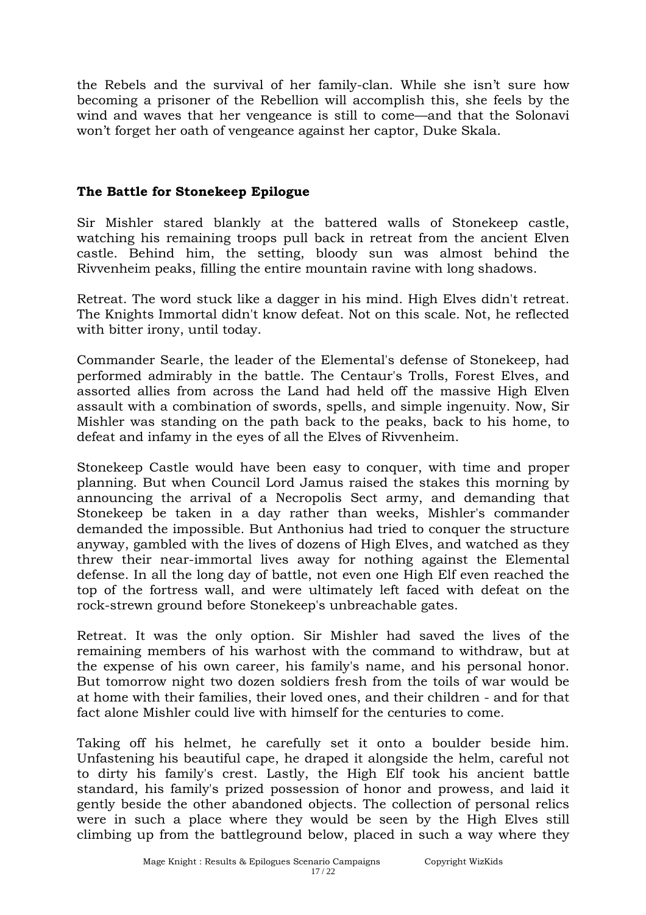the Rebels and the survival of her family-clan. While she isn't sure how becoming a prisoner of the Rebellion will accomplish this, she feels by the wind and waves that her vengeance is still to come—and that the Solonavi won't forget her oath of vengeance against her captor, Duke Skala.

#### **The Battle for Stonekeep Epilogue**

Sir Mishler stared blankly at the battered walls of Stonekeep castle, watching his remaining troops pull back in retreat from the ancient Elven castle. Behind him, the setting, bloody sun was almost behind the Rivvenheim peaks, filling the entire mountain ravine with long shadows.

Retreat. The word stuck like a dagger in his mind. High Elves didn't retreat. The Knights Immortal didn't know defeat. Not on this scale. Not, he reflected with bitter irony, until today.

Commander Searle, the leader of the Elemental's defense of Stonekeep, had performed admirably in the battle. The Centaur's Trolls, Forest Elves, and assorted allies from across the Land had held off the massive High Elven assault with a combination of swords, spells, and simple ingenuity. Now, Sir Mishler was standing on the path back to the peaks, back to his home, to defeat and infamy in the eyes of all the Elves of Rivvenheim.

Stonekeep Castle would have been easy to conquer, with time and proper planning. But when Council Lord Jamus raised the stakes this morning by announcing the arrival of a Necropolis Sect army, and demanding that Stonekeep be taken in a day rather than weeks, Mishler's commander demanded the impossible. But Anthonius had tried to conquer the structure anyway, gambled with the lives of dozens of High Elves, and watched as they threw their near-immortal lives away for nothing against the Elemental defense. In all the long day of battle, not even one High Elf even reached the top of the fortress wall, and were ultimately left faced with defeat on the rock-strewn ground before Stonekeep's unbreachable gates.

Retreat. It was the only option. Sir Mishler had saved the lives of the remaining members of his warhost with the command to withdraw, but at the expense of his own career, his family's name, and his personal honor. But tomorrow night two dozen soldiers fresh from the toils of war would be at home with their families, their loved ones, and their children - and for that fact alone Mishler could live with himself for the centuries to come.

Taking off his helmet, he carefully set it onto a boulder beside him. Unfastening his beautiful cape, he draped it alongside the helm, careful not to dirty his family's crest. Lastly, the High Elf took his ancient battle standard, his family's prized possession of honor and prowess, and laid it gently beside the other abandoned objects. The collection of personal relics were in such a place where they would be seen by the High Elves still climbing up from the battleground below, placed in such a way where they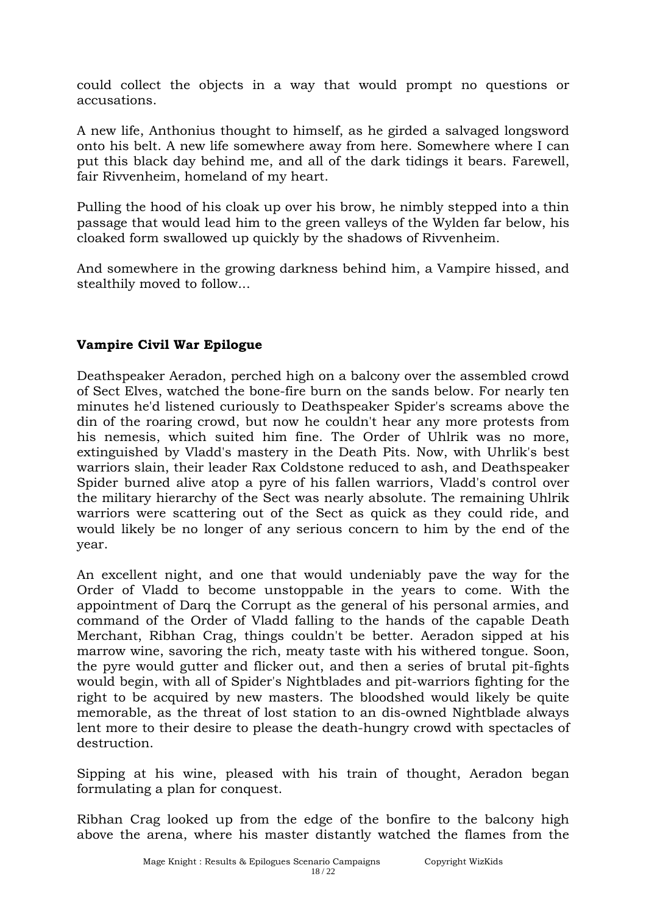could collect the objects in a way that would prompt no questions or accusations.

A new life, Anthonius thought to himself, as he girded a salvaged longsword onto his belt. A new life somewhere away from here. Somewhere where I can put this black day behind me, and all of the dark tidings it bears. Farewell, fair Rivvenheim, homeland of my heart.

Pulling the hood of his cloak up over his brow, he nimbly stepped into a thin passage that would lead him to the green valleys of the Wylden far below, his cloaked form swallowed up quickly by the shadows of Rivvenheim.

And somewhere in the growing darkness behind him, a Vampire hissed, and stealthily moved to follow...

## **Vampire Civil War Epilogue**

Deathspeaker Aeradon, perched high on a balcony over the assembled crowd of Sect Elves, watched the bone-fire burn on the sands below. For nearly ten minutes he'd listened curiously to Deathspeaker Spider's screams above the din of the roaring crowd, but now he couldn't hear any more protests from his nemesis, which suited him fine. The Order of Uhlrik was no more, extinguished by Vladd's mastery in the Death Pits. Now, with Uhrlik's best warriors slain, their leader Rax Coldstone reduced to ash, and Deathspeaker Spider burned alive atop a pyre of his fallen warriors, Vladd's control over the military hierarchy of the Sect was nearly absolute. The remaining Uhlrik warriors were scattering out of the Sect as quick as they could ride, and would likely be no longer of any serious concern to him by the end of the year.

An excellent night, and one that would undeniably pave the way for the Order of Vladd to become unstoppable in the years to come. With the appointment of Darq the Corrupt as the general of his personal armies, and command of the Order of Vladd falling to the hands of the capable Death Merchant, Ribhan Crag, things couldn't be better. Aeradon sipped at his marrow wine, savoring the rich, meaty taste with his withered tongue. Soon, the pyre would gutter and flicker out, and then a series of brutal pit-fights would begin, with all of Spider's Nightblades and pit-warriors fighting for the right to be acquired by new masters. The bloodshed would likely be quite memorable, as the threat of lost station to an dis-owned Nightblade always lent more to their desire to please the death-hungry crowd with spectacles of destruction.

Sipping at his wine, pleased with his train of thought, Aeradon began formulating a plan for conquest.

Ribhan Crag looked up from the edge of the bonfire to the balcony high above the arena, where his master distantly watched the flames from the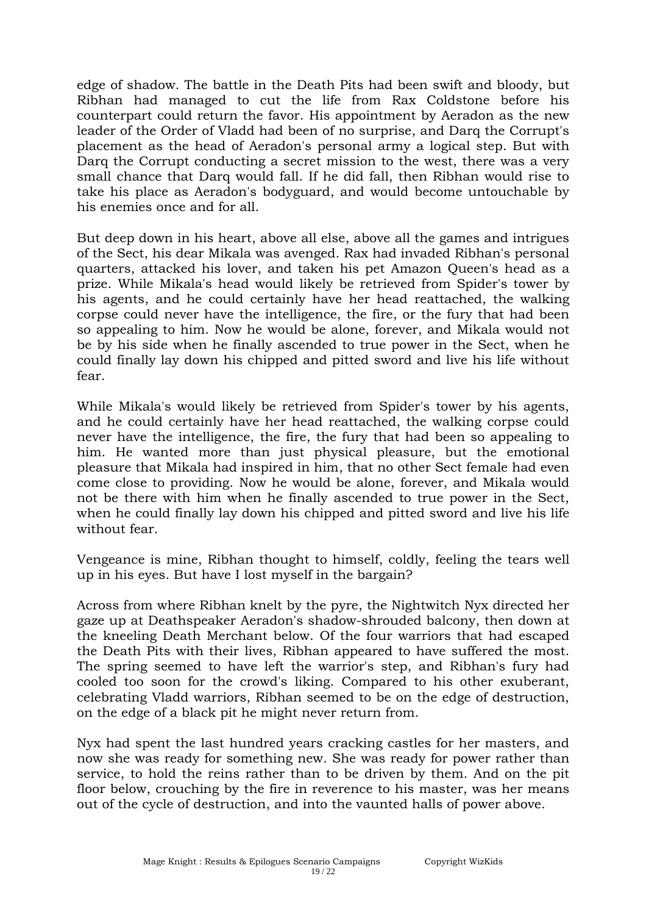edge of shadow. The battle in the Death Pits had been swift and bloody, but Ribhan had managed to cut the life from Rax Coldstone before his counterpart could return the favor. His appointment by Aeradon as the new leader of the Order of Vladd had been of no surprise, and Darq the Corrupt's placement as the head of Aeradon's personal army a logical step. But with Darg the Corrupt conducting a secret mission to the west, there was a very small chance that Darq would fall. If he did fall, then Ribhan would rise to take his place as Aeradon's bodyguard, and would become untouchable by his enemies once and for all.

But deep down in his heart, above all else, above all the games and intrigues of the Sect, his dear Mikala was avenged. Rax had invaded Ribhan's personal quarters, attacked his lover, and taken his pet Amazon Queen's head as a prize. While Mikala's head would likely be retrieved from Spider's tower by his agents, and he could certainly have her head reattached, the walking corpse could never have the intelligence, the fire, or the fury that had been so appealing to him. Now he would be alone, forever, and Mikala would not be by his side when he finally ascended to true power in the Sect, when he could finally lay down his chipped and pitted sword and live his life without fear.

While Mikala's would likely be retrieved from Spider's tower by his agents, and he could certainly have her head reattached, the walking corpse could never have the intelligence, the fire, the fury that had been so appealing to him. He wanted more than just physical pleasure, but the emotional pleasure that Mikala had inspired in him, that no other Sect female had even come close to providing. Now he would be alone, forever, and Mikala would not be there with him when he finally ascended to true power in the Sect, when he could finally lay down his chipped and pitted sword and live his life without fear.

Vengeance is mine, Ribhan thought to himself, coldly, feeling the tears well up in his eyes. But have I lost myself in the bargain?

Across from where Ribhan knelt by the pyre, the Nightwitch Nyx directed her gaze up at Deathspeaker Aeradon's shadow-shrouded balcony, then down at the kneeling Death Merchant below. Of the four warriors that had escaped the Death Pits with their lives, Ribhan appeared to have suffered the most. The spring seemed to have left the warrior's step, and Ribhan's fury had cooled too soon for the crowd's liking. Compared to his other exuberant, celebrating Vladd warriors, Ribhan seemed to be on the edge of destruction, on the edge of a black pit he might never return from.

Nyx had spent the last hundred years cracking castles for her masters, and now she was ready for something new. She was ready for power rather than service, to hold the reins rather than to be driven by them. And on the pit floor below, crouching by the fire in reverence to his master, was her means out of the cycle of destruction, and into the vaunted halls of power above.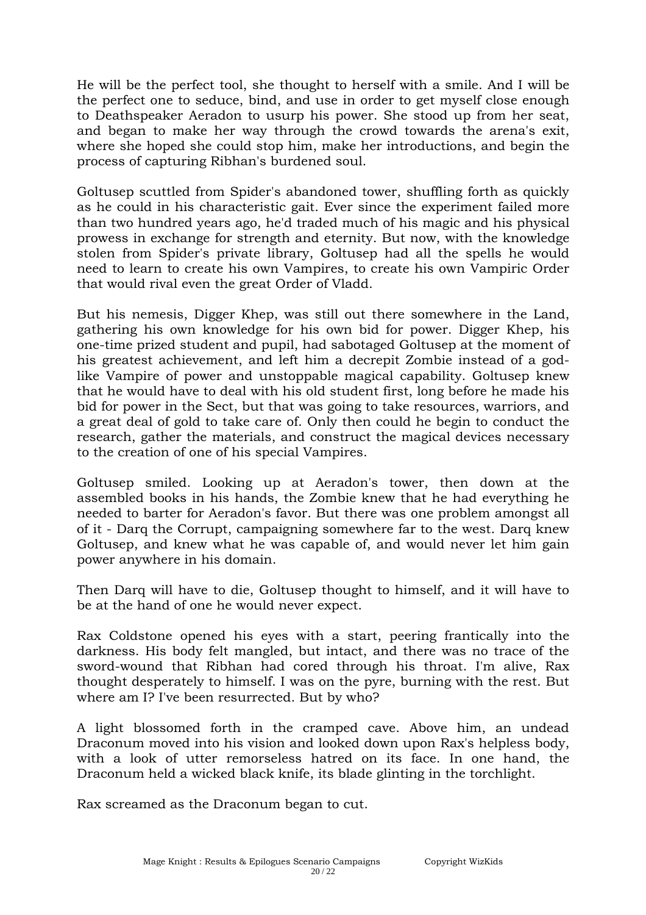He will be the perfect tool, she thought to herself with a smile. And I will be the perfect one to seduce, bind, and use in order to get myself close enough to Deathspeaker Aeradon to usurp his power. She stood up from her seat, and began to make her way through the crowd towards the arena's exit, where she hoped she could stop him, make her introductions, and begin the process of capturing Ribhan's burdened soul.

Goltusep scuttled from Spider's abandoned tower, shuffling forth as quickly as he could in his characteristic gait. Ever since the experiment failed more than two hundred years ago, he'd traded much of his magic and his physical prowess in exchange for strength and eternity. But now, with the knowledge stolen from Spider's private library, Goltusep had all the spells he would need to learn to create his own Vampires, to create his own Vampiric Order that would rival even the great Order of Vladd.

But his nemesis, Digger Khep, was still out there somewhere in the Land, gathering his own knowledge for his own bid for power. Digger Khep, his one-time prized student and pupil, had sabotaged Goltusep at the moment of his greatest achievement, and left him a decrepit Zombie instead of a godlike Vampire of power and unstoppable magical capability. Goltusep knew that he would have to deal with his old student first, long before he made his bid for power in the Sect, but that was going to take resources, warriors, and a great deal of gold to take care of. Only then could he begin to conduct the research, gather the materials, and construct the magical devices necessary to the creation of one of his special Vampires.

Goltusep smiled. Looking up at Aeradon's tower, then down at the assembled books in his hands, the Zombie knew that he had everything he needed to barter for Aeradon's favor. But there was one problem amongst all of it - Darq the Corrupt, campaigning somewhere far to the west. Darq knew Goltusep, and knew what he was capable of, and would never let him gain power anywhere in his domain.

Then Darq will have to die, Goltusep thought to himself, and it will have to be at the hand of one he would never expect.

Rax Coldstone opened his eyes with a start, peering frantically into the darkness. His body felt mangled, but intact, and there was no trace of the sword-wound that Ribhan had cored through his throat. I'm alive, Rax thought desperately to himself. I was on the pyre, burning with the rest. But where am I? I've been resurrected. But by who?

A light blossomed forth in the cramped cave. Above him, an undead Draconum moved into his vision and looked down upon Rax's helpless body, with a look of utter remorseless hatred on its face. In one hand, the Draconum held a wicked black knife, its blade glinting in the torchlight.

Rax screamed as the Draconum began to cut.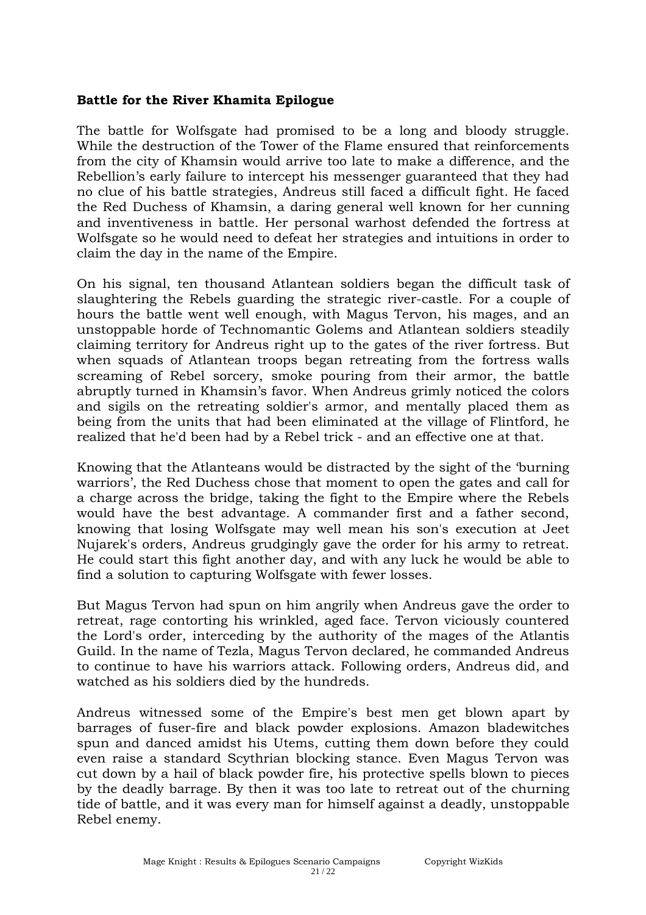#### **Battle for the River Khamita Epilogue**

The battle for Wolfsgate had promised to be a long and bloody struggle. While the destruction of the Tower of the Flame ensured that reinforcements from the city of Khamsin would arrive too late to make a difference, and the Rebellion's early failure to intercept his messenger guaranteed that they had no clue of his battle strategies, Andreus still faced a difficult fight. He faced the Red Duchess of Khamsin, a daring general well known for her cunning and inventiveness in battle. Her personal warhost defended the fortress at Wolfsgate so he would need to defeat her strategies and intuitions in order to claim the day in the name of the Empire.

On his signal, ten thousand Atlantean soldiers began the difficult task of slaughtering the Rebels guarding the strategic river-castle. For a couple of hours the battle went well enough, with Magus Tervon, his mages, and an unstoppable horde of Technomantic Golems and Atlantean soldiers steadily claiming territory for Andreus right up to the gates of the river fortress. But when squads of Atlantean troops began retreating from the fortress walls screaming of Rebel sorcery, smoke pouring from their armor, the battle abruptly turned in Khamsin's favor. When Andreus grimly noticed the colors and sigils on the retreating soldier's armor, and mentally placed them as being from the units that had been eliminated at the village of Flintford, he realized that he'd been had by a Rebel trick - and an effective one at that.

Knowing that the Atlanteans would be distracted by the sight of the 'burning warriors', the Red Duchess chose that moment to open the gates and call for a charge across the bridge, taking the fight to the Empire where the Rebels would have the best advantage. A commander first and a father second, knowing that losing Wolfsgate may well mean his son's execution at Jeet Nujarek's orders, Andreus grudgingly gave the order for his army to retreat. He could start this fight another day, and with any luck he would be able to find a solution to capturing Wolfsgate with fewer losses.

But Magus Tervon had spun on him angrily when Andreus gave the order to retreat, rage contorting his wrinkled, aged face. Tervon viciously countered the Lord's order, interceding by the authority of the mages of the Atlantis Guild. In the name of Tezla, Magus Tervon declared, he commanded Andreus to continue to have his warriors attack. Following orders, Andreus did, and watched as his soldiers died by the hundreds.

Andreus witnessed some of the Empire's best men get blown apart by barrages of fuser-fire and black powder explosions. Amazon bladewitches spun and danced amidst his Utems, cutting them down before they could even raise a standard Scythrian blocking stance. Even Magus Tervon was cut down by a hail of black powder fire, his protective spells blown to pieces by the deadly barrage. By then it was too late to retreat out of the churning tide of battle, and it was every man for himself against a deadly, unstoppable Rebel enemy.